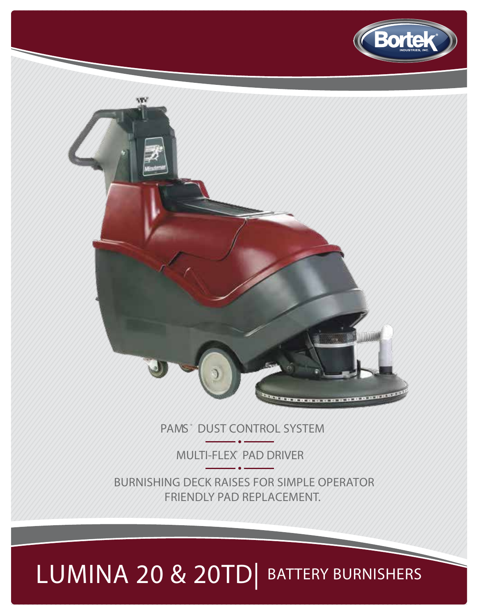**MULTI-FLEX® PAD DRIVER BURNISHING DECK RAISES FOR SIMPLE OPERATOR FRIENDLY PAD REPLACEMENT.**

# **LUMINA 20 & 20TD**| BATTERY BURNISHERS

**PAMS ® DUST CONTROL SYSTEM**